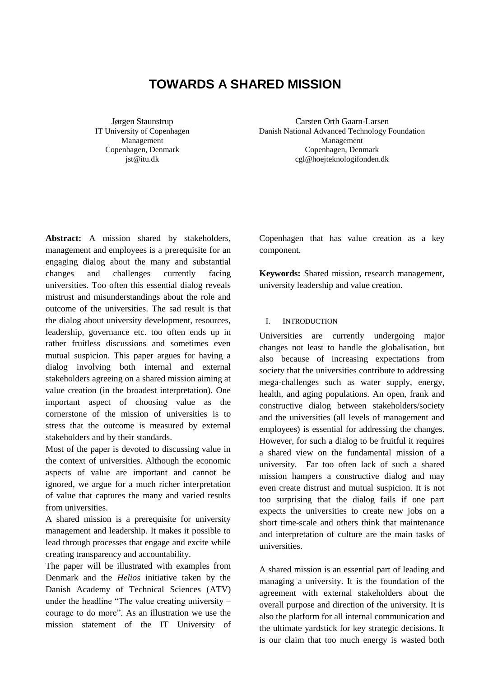# **TOWARDS A SHARED MISSION**

Jørgen Staunstrup IT University of Copenhagen Management Copenhagen, Denmark jst@itu.dk

Carsten Orth Gaarn-Larsen Danish National Advanced Technology Foundation Management Copenhagen, Denmark cgl@hoejteknologifonden.dk

**Abstract:** A mission shared by stakeholders, management and employees is a prerequisite for an engaging dialog about the many and substantial changes and challenges currently facing universities. Too often this essential dialog reveals mistrust and misunderstandings about the role and outcome of the universities. The sad result is that the dialog about university development, resources, leadership, governance etc. too often ends up in rather fruitless discussions and sometimes even mutual suspicion. This paper argues for having a dialog involving both internal and external stakeholders agreeing on a shared mission aiming at value creation (in the broadest interpretation). One important aspect of choosing value as the cornerstone of the mission of universities is to stress that the outcome is measured by external stakeholders and by their standards.

Most of the paper is devoted to discussing value in the context of universities. Although the economic aspects of value are important and cannot be ignored, we argue for a much richer interpretation of value that captures the many and varied results from universities.

A shared mission is a prerequisite for university management and leadership. It makes it possible to lead through processes that engage and excite while creating transparency and accountability.

The paper will be illustrated with examples from Denmark and the *Helios* initiative taken by the Danish Academy of Technical Sciences (ATV) under the headline "The value creating university – courage to do more". As an illustration we use the mission statement of the IT University of

Copenhagen that has value creation as a key component.

**Keywords:** Shared mission, research management, university leadership and value creation.

## I. INTRODUCTION

Universities are currently undergoing major changes not least to handle the globalisation, but also because of increasing expectations from society that the universities contribute to addressing mega-challenges such as water supply, energy, health, and aging populations. An open, frank and constructive dialog between stakeholders/society and the universities (all levels of management and employees) is essential for addressing the changes. However, for such a dialog to be fruitful it requires a shared view on the fundamental mission of a university. Far too often lack of such a shared mission hampers a constructive dialog and may even create distrust and mutual suspicion. It is not too surprising that the dialog fails if one part expects the universities to create new jobs on a short time-scale and others think that maintenance and interpretation of culture are the main tasks of universities.

A shared mission is an essential part of leading and managing a university. It is the foundation of the agreement with external stakeholders about the overall purpose and direction of the university. It is also the platform for all internal communication and the ultimate yardstick for key strategic decisions. It is our claim that too much energy is wasted both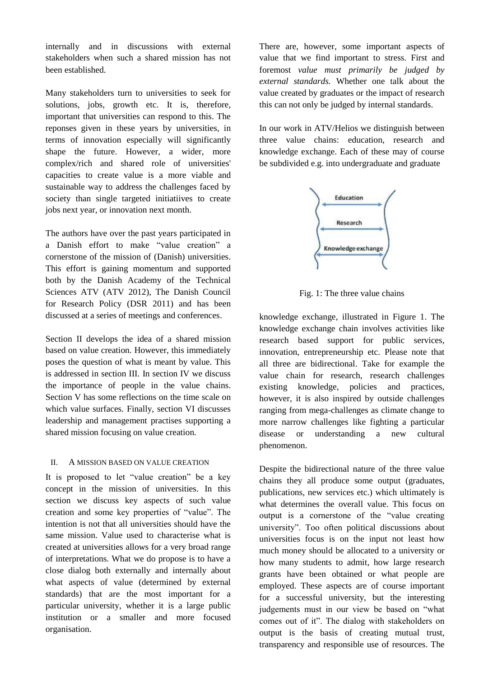internally and in discussions with external stakeholders when such a shared mission has not been established.

Many stakeholders turn to universities to seek for solutions, jobs, growth etc. It is, therefore, important that universities can respond to this. The reponses given in these years by universities, in terms of innovation especially will significantly shape the future. However, a wider, more complex/rich and shared role of universities' capacities to create value is a more viable and sustainable way to address the challenges faced by society than single targeted initiatiives to create jobs next year, or innovation next month.

The authors have over the past years participated in a Danish effort to make "value creation" a cornerstone of the mission of (Danish) universities. This effort is gaining momentum and supported both by the Danish Academy of the Technical Sciences ATV (ATV 2012), The Danish Council for Research Policy (DSR 2011) and has been discussed at a series of meetings and conferences.

Section II develops the idea of a shared mission based on value creation. However, this immediately poses the question of what is meant by value. This is addressed in section III. In section IV we discuss the importance of people in the value chains. Section V has some reflections on the time scale on which value surfaces. Finally, section VI discusses leadership and management practises supporting a shared mission focusing on value creation.

## II. A MISSION BASED ON VALUE CREATION

It is proposed to let "value creation" be a key concept in the mission of universities. In this section we discuss key aspects of such value creation and some key properties of "value". The intention is not that all universities should have the same mission. Value used to characterise what is created at universities allows for a very broad range of interpretations. What we do propose is to have a close dialog both externally and internally about what aspects of value (determined by external standards) that are the most important for a particular university, whether it is a large public institution or a smaller and more focused organisation.

There are, however, some important aspects of value that we find important to stress. First and foremost *value must primarily be judged by external standards.* Whether one talk about the value created by graduates or the impact of research this can not only be judged by internal standards.

In our work in ATV/Helios we distinguish between three value chains: education, research and knowledge exchange. Each of these may of course be subdivided e.g. into undergraduate and graduate



Fig. 1: The three value chains

knowledge exchange, illustrated in Figure 1. The knowledge exchange chain involves activities like research based support for public services, innovation, entrepreneurship etc. Please note that all three are bidirectional. Take for example the value chain for research, research challenges existing knowledge, policies and practices, however, it is also inspired by outside challenges ranging from mega-challenges as climate change to more narrow challenges like fighting a particular disease or understanding a new cultural phenomenon.

Despite the bidirectional nature of the three value chains they all produce some output (graduates, publications, new services etc.) which ultimately is what determines the overall value. This focus on output is a cornerstone of the "value creating university". Too often political discussions about universities focus is on the input not least how much money should be allocated to a university or how many students to admit, how large research grants have been obtained or what people are employed. These aspects are of course important for a successful university, but the interesting judgements must in our view be based on "what comes out of it". The dialog with stakeholders on output is the basis of creating mutual trust, transparency and responsible use of resources. The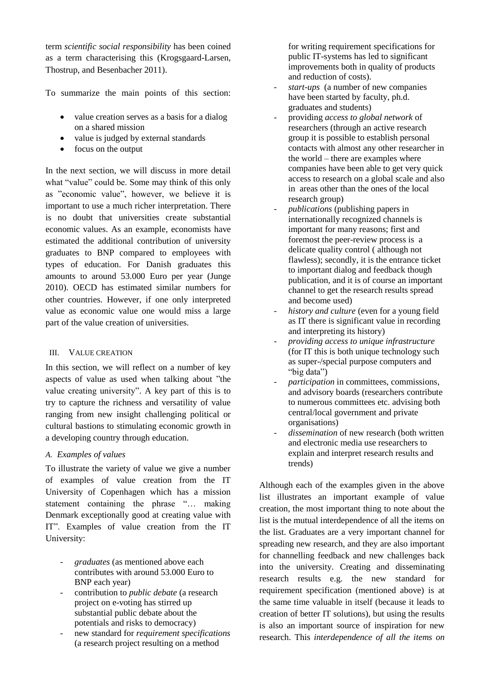term *scientific social responsibility* has been coined as a term characterising this (Krogsgaard-Larsen, Thostrup, and Besenbacher 2011).

To summarize the main points of this section:

- value creation serves as a basis for a dialog on a shared mission
- value is judged by external standards
- focus on the output

In the next section, we will discuss in more detail what "value" could be. Some may think of this only as "economic value", however, we believe it is important to use a much richer interpretation. There is no doubt that universities create substantial economic values. As an example, economists have estimated the additional contribution of university graduates to BNP compared to employees with types of education. For Danish graduates this amounts to around 53.000 Euro per year (Junge 2010). OECD has estimated similar numbers for other countries. However, if one only interpreted value as economic value one would miss a large part of the value creation of universities.

# III. VALUE CREATION

In this section, we will reflect on a number of key aspects of value as used when talking about "the value creating university". A key part of this is to try to capture the richness and versatility of value ranging from new insight challenging political or cultural bastions to stimulating economic growth in a developing country through education.

# *A. Examples of values*

To illustrate the variety of value we give a number of examples of value creation from the IT University of Copenhagen which has a mission statement containing the phrase "… making Denmark exceptionally good at creating value with IT". Examples of value creation from the IT University:

- *graduates* (as mentioned above each contributes with around 53.000 Euro to BNP each year)
- contribution to *public debate* (a research project on e-voting has stirred up substantial public debate about the potentials and risks to democracy)
- new standard for *requirement specifications* (a research project resulting on a method

for writing requirement specifications for public IT-systems has led to significant improvements both in quality of products and reduction of costs).

- *start-ups* (a number of new companies have been started by faculty, ph.d. graduates and students)
- providing *access to global network* of researchers (through an active research group it is possible to establish personal contacts with almost any other researcher in the world – there are examples where companies have been able to get very quick access to research on a global scale and also in areas other than the ones of the local research group)
- *publications* (publishing papers in internationally recognized channels is important for many reasons; first and foremost the peer-review process is a delicate quality control ( although not flawless); secondly, it is the entrance ticket to important dialog and feedback though publication, and it is of course an important channel to get the research results spread and become used)
- history and culture (even for a young field as IT there is significant value in recording and interpreting its history)
- *providing access to unique infrastructure* (for IT this is both unique technology such as super-/special purpose computers and "big data")
- *participation* in committees, commissions, and advisory boards (researchers contribute to numerous committees etc. advising both central/local government and private organisations)
- *dissemination* of new research (both written and electronic media use researchers to explain and interpret research results and trends)

Although each of the examples given in the above list illustrates an important example of value creation, the most important thing to note about the list is the mutual interdependence of all the items on the list. Graduates are a very important channel for spreading new research, and they are also important for channelling feedback and new challenges back into the university. Creating and disseminating research results e.g. the new standard for requirement specification (mentioned above) is at the same time valuable in itself (because it leads to creation of better IT solutions), but using the results is also an important source of inspiration for new research. This *interdependence of all the items on*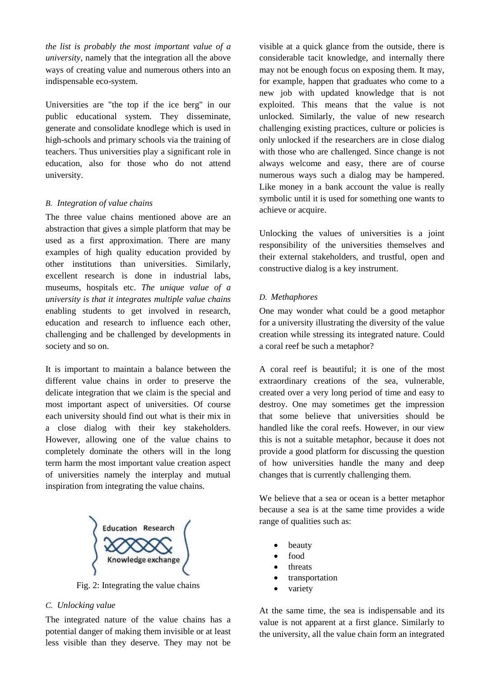*the list is probably the most important value of a university*, namely that the integration all the above ways of creating value and numerous others into an indispensable eco-system.

Universities are "the top if the ice berg" in our public educational system. They disseminate, generate and consolidate knodlege which is used in high-schools and primary schools via the training of teachers. Thus universities play a significant role in education, also for those who do not attend university.

# *B. Integration of value chains*

The three value chains mentioned above are an abstraction that gives a simple platform that may be used as a first approximation. There are many examples of high quality education provided by other institutions than universities. Similarly, excellent research is done in industrial labs, museums, hospitals etc. *The unique value of a university is that it integrates multiple value chains* enabling students to get involved in research, education and research to influence each other, challenging and be challenged by developments in society and so on.

It is important to maintain a balance between the different value chains in order to preserve the delicate integration that we claim is the special and most important aspect of universities. Of course each university should find out what is their mix in a close dialog with their key stakeholders. However, allowing one of the value chains to completely dominate the others will in the long term harm the most important value creation aspect of universities namely the interplay and mutual inspiration from integrating the value chains.



Fig. 2: Integrating the value chains

## *C. Unlocking value*

The integrated nature of the value chains has a potential danger of making them invisible or at least less visible than they deserve. They may not be

visible at a quick glance from the outside, there is considerable tacit knowledge, and internally there may not be enough focus on exposing them. It may, for example, happen that graduates who come to a new job with updated knowledge that is not exploited. This means that the value is not unlocked. Similarly, the value of new research challenging existing practices, culture or policies is only unlocked if the researchers are in close dialog with those who are challenged. Since change is not always welcome and easy, there are of course numerous ways such a dialog may be hampered. Like money in a bank account the value is really symbolic until it is used for something one wants to achieve or acquire.

Unlocking the values of universities is a joint responsibility of the universities themselves and their external stakeholders, and trustful, open and constructive dialog is a key instrument.

# *D. Methaphores*

One may wonder what could be a good metaphor for a university illustrating the diversity of the value creation while stressing its integrated nature. Could a coral reef be such a metaphor?

A coral reef is beautiful; it is one of the most extraordinary creations of the sea, vulnerable, created over a very long period of time and easy to destroy. One may sometimes get the impression that some believe that universities should be handled like the coral reefs. However, in our view this is not a suitable metaphor, because it does not provide a good platform for discussing the question of how universities handle the many and deep changes that is currently challenging them.

We believe that a sea or ocean is a better metaphor because a sea is at the same time provides a wide range of qualities such as:

- beauty
- food
- threats
- transportation
- variety

At the same time, the sea is indispensable and its value is not apparent at a first glance. Similarly to the university, all the value chain form an integrated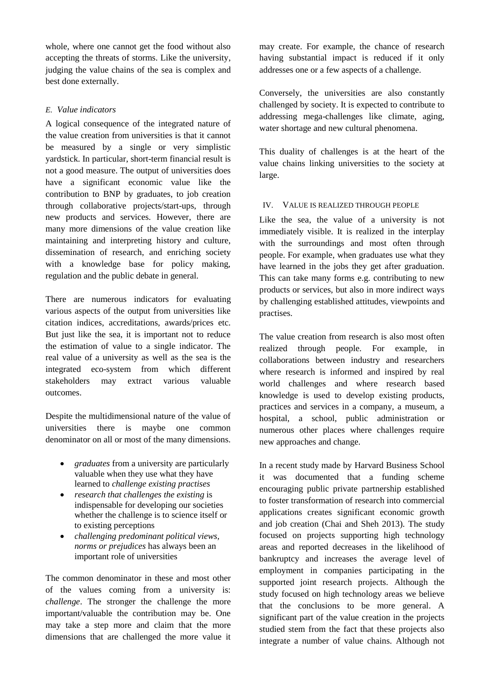whole, where one cannot get the food without also accepting the threats of storms. Like the university, judging the value chains of the sea is complex and best done externally.

# *E. Value indicators*

A logical consequence of the integrated nature of the value creation from universities is that it cannot be measured by a single or very simplistic yardstick. In particular, short-term financial result is not a good measure. The output of universities does have a significant economic value like the contribution to BNP by graduates, to job creation through collaborative projects/start-ups, through new products and services. However, there are many more dimensions of the value creation like maintaining and interpreting history and culture, dissemination of research, and enriching society with a knowledge base for policy making, regulation and the public debate in general.

There are numerous indicators for evaluating various aspects of the output from universities like citation indices, accreditations, awards/prices etc. But just like the sea, it is important not to reduce the estimation of value to a single indicator. The real value of a university as well as the sea is the integrated eco-system from which different stakeholders may extract various valuable outcomes.

Despite the multidimensional nature of the value of universities there is maybe one common denominator on all or most of the many dimensions.

- *graduates* from a university are particularly valuable when they use what they have learned to *challenge existing practises*
- *research that challenges the existing* is indispensable for developing our societies whether the challenge is to science itself or to existing perceptions
- *challenging predominant political views, norms or prejudices* has always been an important role of universities

The common denominator in these and most other of the values coming from a university is: *challenge*. The stronger the challenge the more important/valuable the contribution may be. One may take a step more and claim that the more dimensions that are challenged the more value it

may create. For example, the chance of research having substantial impact is reduced if it only addresses one or a few aspects of a challenge.

Conversely, the universities are also constantly challenged by society. It is expected to contribute to addressing mega-challenges like climate, aging, water shortage and new cultural phenomena.

This duality of challenges is at the heart of the value chains linking universities to the society at large.

# IV. VALUE IS REALIZED THROUGH PEOPLE

Like the sea, the value of a university is not immediately visible. It is realized in the interplay with the surroundings and most often through people. For example, when graduates use what they have learned in the jobs they get after graduation. This can take many forms e.g. contributing to new products or services, but also in more indirect ways by challenging established attitudes, viewpoints and practises.

The value creation from research is also most often realized through people. For example, in collaborations between industry and researchers where research is informed and inspired by real world challenges and where research based knowledge is used to develop existing products, practices and services in a company, a museum, a hospital, a school, public administration or numerous other places where challenges require new approaches and change.

In a recent study made by Harvard Business School it was documented that a funding scheme encouraging public private partnership established to foster transformation of research into commercial applications creates significant economic growth and job creation (Chai and Sheh 2013). The study focused on projects supporting high technology areas and reported decreases in the likelihood of bankruptcy and increases the average level of employment in companies participating in the supported joint research projects. Although the study focused on high technology areas we believe that the conclusions to be more general. A significant part of the value creation in the projects studied stem from the fact that these projects also integrate a number of value chains. Although not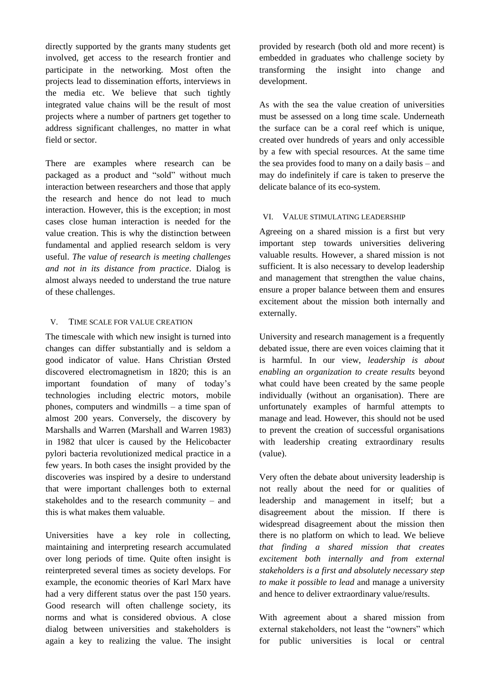directly supported by the grants many students get involved, get access to the research frontier and participate in the networking. Most often the projects lead to dissemination efforts, interviews in the media etc. We believe that such tightly integrated value chains will be the result of most projects where a number of partners get together to address significant challenges, no matter in what field or sector.

There are examples where research can be packaged as a product and "sold" without much interaction between researchers and those that apply the research and hence do not lead to much interaction. However, this is the exception; in most cases close human interaction is needed for the value creation. This is why the distinction between fundamental and applied research seldom is very useful. *The value of research is meeting challenges and not in its distance from practice*. Dialog is almost always needed to understand the true nature of these challenges.

## V. TIME SCALE FOR VALUE CREATION

The timescale with which new insight is turned into changes can differ substantially and is seldom a good indicator of value. Hans Christian Ørsted discovered electromagnetism in 1820; this is an important foundation of many of today's technologies including electric motors, mobile phones, computers and windmills – a time span of almost 200 years. Conversely, the discovery by [Marshalls](http://da.wikipedia.org/wiki/Barry_J._Marshall) and Warren (Marshall and Warren 1983) in 1982 that ulcer is caused by the [Helicobacter](http://en.wikipedia.org/wiki/Helicobacter_pylori)  [pylori](http://en.wikipedia.org/wiki/Helicobacter_pylori) bacteria revolutionized medical practice in a few years. In both cases the insight provided by the discoveries was inspired by a desire to understand that were important challenges both to external stakeholdes and to the research community – and this is what makes them valuable.

Universities have a key role in collecting, maintaining and interpreting research accumulated over long periods of time. Quite often insight is reinterpreted several times as society develops. For example, the economic theories of Karl Marx have had a very different status over the past 150 years. Good research will often challenge society, its norms and what is considered obvious. A close dialog between universities and stakeholders is again a key to realizing the value. The insight

provided by research (both old and more recent) is embedded in graduates who challenge society by transforming the insight into change and development.

As with the sea the value creation of universities must be assessed on a long time scale. Underneath the surface can be a coral reef which is unique, created over hundreds of years and only accessible by a few with special resources. At the same time the sea provides food to many on a daily basis – and may do indefinitely if care is taken to preserve the delicate balance of its eco-system.

# VI. VALUE STIMULATING LEADERSHIP

Agreeing on a shared mission is a first but very important step towards universities delivering valuable results. However, a shared mission is not sufficient. It is also necessary to develop leadership and management that strengthen the value chains, ensure a proper balance between them and ensures excitement about the mission both internally and externally.

University and research management is a frequently debated issue, there are even voices claiming that it is harmful. In our view, *leadership is about enabling an organization to create results* beyond what could have been created by the same people individually (without an organisation). There are unfortunately examples of harmful attempts to manage and lead. However, this should not be used to prevent the creation of successful organisations with leadership creating extraordinary results (value).

Very often the debate about university leadership is not really about the need for or qualities of leadership and management in itself; but a disagreement about the mission. If there is widespread disagreement about the mission then there is no platform on which to lead. We believe *that finding a shared mission that creates excitement both internally and from external stakeholders is a first and absolutely necessary step to make it possible to lead* and manage a university and hence to deliver extraordinary value/results.

With agreement about a shared mission from external stakeholders, not least the "owners" which for public universities is local or central